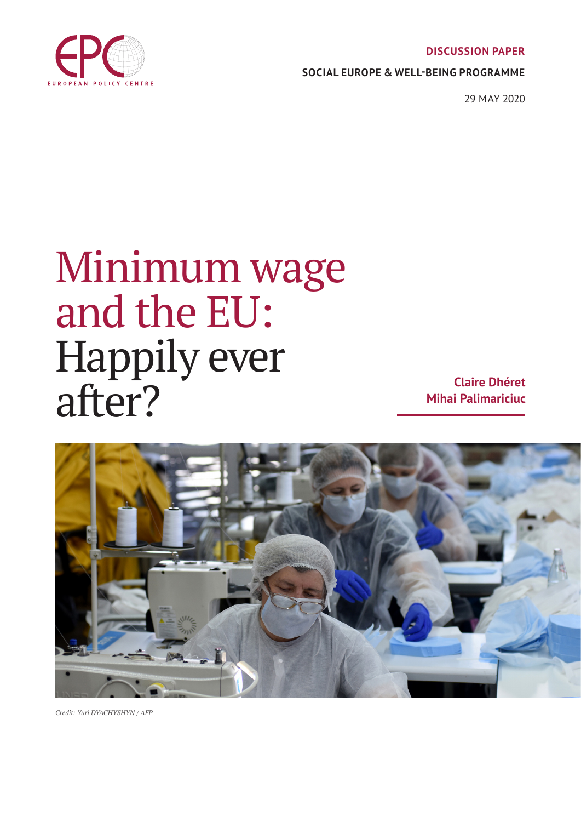**DISCUSSION PAPER**



**SOCIAL EUROPE & WELL-BEING PROGRAMME**

29 MAY 2020

# Minimum wage and the EU: Happily ever after?

**Claire Dhéret Mihai Palimariciuc**



*Credit: Yuri DYACHYSHYN / AFP*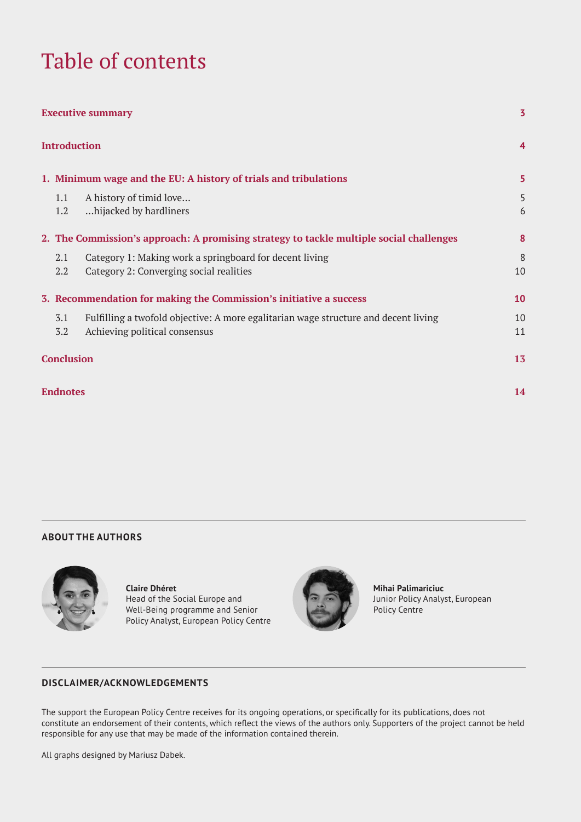# Table of contents

| <b>Executive summary</b> |                                                                    |                                                                                                                      | 3              |
|--------------------------|--------------------------------------------------------------------|----------------------------------------------------------------------------------------------------------------------|----------------|
|                          |                                                                    | <b>Introduction</b>                                                                                                  | $\overline{4}$ |
|                          |                                                                    | 1. Minimum wage and the EU: A history of trials and tribulations                                                     | 5              |
|                          | 1.1<br>1.2                                                         | A history of timid love<br>hijacked by hardliners.                                                                   | 5<br>6         |
|                          |                                                                    | 2. The Commission's approach: A promising strategy to tackle multiple social challenges                              | 8              |
|                          | 2.1<br>2.2                                                         | Category 1: Making work a springboard for decent living<br>Category 2: Converging social realities                   | 8<br>10        |
|                          | 3. Recommendation for making the Commission's initiative a success |                                                                                                                      | 10             |
|                          | 3.1<br>3.2                                                         | Fulfilling a twofold objective: A more egalitarian wage structure and decent living<br>Achieving political consensus | 10<br>11       |
| <b>Conclusion</b>        |                                                                    |                                                                                                                      | 13             |
|                          | <b>Endnotes</b>                                                    |                                                                                                                      | 14             |

### **ABOUT THE AUTHORS**



**Claire Dhéret** Head of the Social Europe and Well-Being programme and Senior

Policy Analyst, European Policy Centre



**Mihai Palimariciuc** Junior Policy Analyst, European Policy Centre

### **DISCLAIMER/ACKNOWLEDGEMENTS**

The support the European Policy Centre receives for its ongoing operations, or specifically for its publications, does not constitute an endorsement of their contents, which reflect the views of the authors only. Supporters of the project cannot be held responsible for any use that may be made of the information contained therein.

All graphs designed by Mariusz Dabek.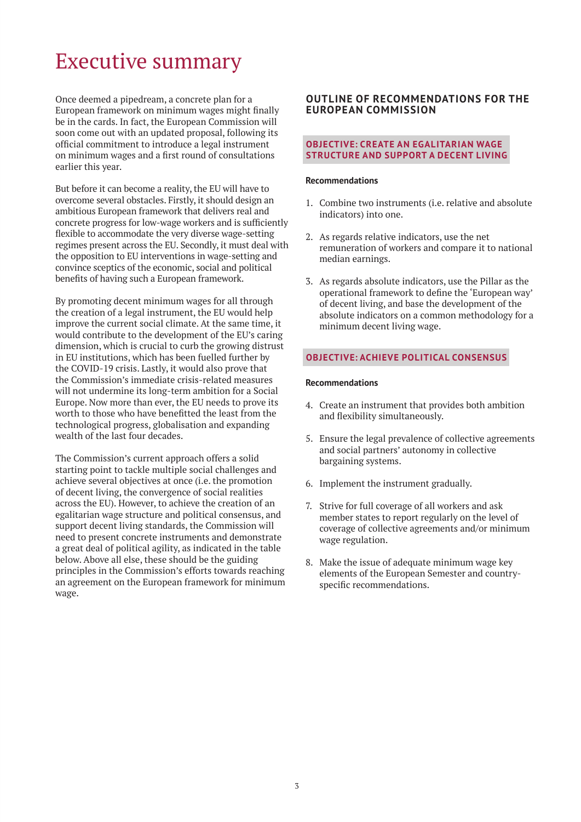# Executive summary

Once deemed a pipedream, a concrete plan for a European framework on minimum wages might finally be in the cards. In fact, the European Commission will soon come out with an updated proposal, following its official commitment to introduce a legal instrument on minimum wages and a first round of consultations earlier this year.

But before it can become a reality, the EU will have to overcome several obstacles. Firstly, it should design an ambitious European framework that delivers real and concrete progress for low-wage workers and is sufficiently flexible to accommodate the very diverse wage-setting regimes present across the EU. Secondly, it must deal with the opposition to EU interventions in wage-setting and convince sceptics of the economic, social and political benefits of having such a European framework.

By promoting decent minimum wages for all through the creation of a legal instrument, the EU would help improve the current social climate. At the same time, it would contribute to the development of the EU's caring dimension, which is crucial to curb the growing distrust in EU institutions, which has been fuelled further by the COVID-19 crisis. Lastly, it would also prove that the Commission's immediate crisis-related measures will not undermine its long-term ambition for a Social Europe. Now more than ever, the EU needs to prove its worth to those who have benefitted the least from the technological progress, globalisation and expanding wealth of the last four decades.

The Commission's current approach offers a solid starting point to tackle multiple social challenges and achieve several objectives at once (i.e. the promotion of decent living, the convergence of social realities across the EU). However, to achieve the creation of an egalitarian wage structure and political consensus, and support decent living standards, the Commission will need to present concrete instruments and demonstrate a great deal of political agility, as indicated in the table below. Above all else, these should be the guiding principles in the Commission's efforts towards reaching an agreement on the European framework for minimum wage.

### **OUTLINE OF RECOMMENDATIONS FOR THE EUROPEAN COMMISSION**

### **OBJECTIVE: CREATE AN EGALITARIAN WAGE STRUCTURE AND SUPPORT A DECENT LIVING**

#### **Recommendations**

- 1. Combine two instruments (i.e. relative and absolute indicators) into one.
- 2. As regards relative indicators, use the net remuneration of workers and compare it to national median earnings.
- 3. As regards absolute indicators, use the Pillar as the operational framework to define the 'European way' of decent living, and base the development of the absolute indicators on a common methodology for a minimum decent living wage.

### **OBJECTIVE: ACHIEVE POLITICAL CONSENSUS**

#### **Recommendations**

- 4. Create an instrument that provides both ambition and flexibility simultaneously.
- 5. Ensure the legal prevalence of collective agreements and social partners' autonomy in collective bargaining systems.
- 6. Implement the instrument gradually.
- 7. Strive for full coverage of all workers and ask member states to report regularly on the level of coverage of collective agreements and/or minimum wage regulation.
- 8. Make the issue of adequate minimum wage key elements of the European Semester and countryspecific recommendations.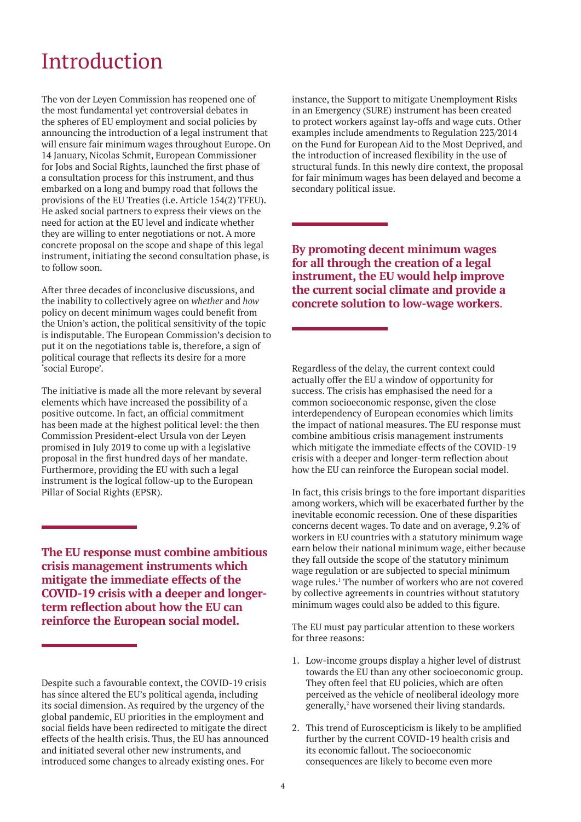# **Introduction**

The von der Leyen Commission has reopened one of the most fundamental yet controversial debates in the spheres of EU employment and social policies by announcing the introduction of a legal instrument that will ensure fair minimum wages throughout Europe. On 14 January, Nicolas Schmit, European Commissioner for Jobs and Social Rights, launched the first phase of a consultation process for this instrument, and thus embarked on a long and bumpy road that follows the provisions of the EU Treaties (i.e. Article 154(2) TFEU). He asked social partners to express their views on the need for action at the EU level and indicate whether they are willing to enter negotiations or not. A more concrete proposal on the scope and shape of this legal instrument, initiating the second consultation phase, is to follow soon.

After three decades of inconclusive discussions, and the inability to collectively agree on *whether* and *how*  policy on decent minimum wages could benefit from the Union's action, the political sensitivity of the topic is indisputable. The European Commission's decision to put it on the negotiations table is, therefore, a sign of political courage that reflects its desire for a more 'social Europe'.

The initiative is made all the more relevant by several elements which have increased the possibility of a positive outcome. In fact, an official commitment has been made at the highest political level: the then Commission President-elect Ursula von der Leyen promised in July 2019 to come up with a legislative proposal in the first hundred days of her mandate. Furthermore, providing the EU with such a legal instrument is the logical follow-up to the European Pillar of Social Rights (EPSR).

**The EU response must combine ambitious crisis management instruments which mitigate the immediate effects of the COVID-19 crisis with a deeper and longerterm reflection about how the EU can reinforce the European social model.**

instance, the Support to mitigate Unemployment Risks in an Emergency (SURE) instrument has been created to protect workers against lay-offs and wage cuts. Other examples include amendments to Regulation 223/2014 on the Fund for European Aid to the Most Deprived, and the introduction of increased flexibility in the use of structural funds. In this newly dire context, the proposal for fair minimum wages has been delayed and become a secondary political issue.

**By promoting decent minimum wages for all through the creation of a legal instrument, the EU would help improve the current social climate and provide a concrete solution to low-wage workers**.

Regardless of the delay, the current context could actually offer the EU a window of opportunity for success. The crisis has emphasised the need for a common socioeconomic response, given the close interdependency of European economies which limits the impact of national measures. The EU response must combine ambitious crisis management instruments which mitigate the immediate effects of the COVID-19 crisis with a deeper and longer-term reflection about how the EU can reinforce the European social model.

In fact, this crisis brings to the fore important disparities among workers, which will be exacerbated further by the inevitable economic recession. One of these disparities concerns decent wages. To date and on average, 9.2% of workers in EU countries with a statutory minimum wage earn below their national minimum wage, either because they fall outside the scope of the statutory minimum wage regulation or are subjected to special minimum wage rules.<sup>1</sup> The number of workers who are not covered by collective agreements in countries without statutory minimum wages could also be added to this figure.

The EU must pay particular attention to these workers for three reasons:

- 1. Low-income groups display a higher level of distrust towards the EU than any other socioeconomic group. They often feel that EU policies, which are often perceived as the vehicle of neoliberal ideology more generally,<sup>2</sup> have worsened their living standards.
- 2. This trend of Euroscepticism is likely to be amplified further by the current COVID-19 health crisis and its economic fallout. The socioeconomic consequences are likely to become even more

Despite such a favourable context, the COVID-19 crisis has since altered the EU's political agenda, including its social dimension. As required by the urgency of the global pandemic, EU priorities in the employment and social fields have been redirected to mitigate the direct effects of the health crisis. Thus, the EU has announced and initiated several other new instruments, and introduced some changes to already existing ones. For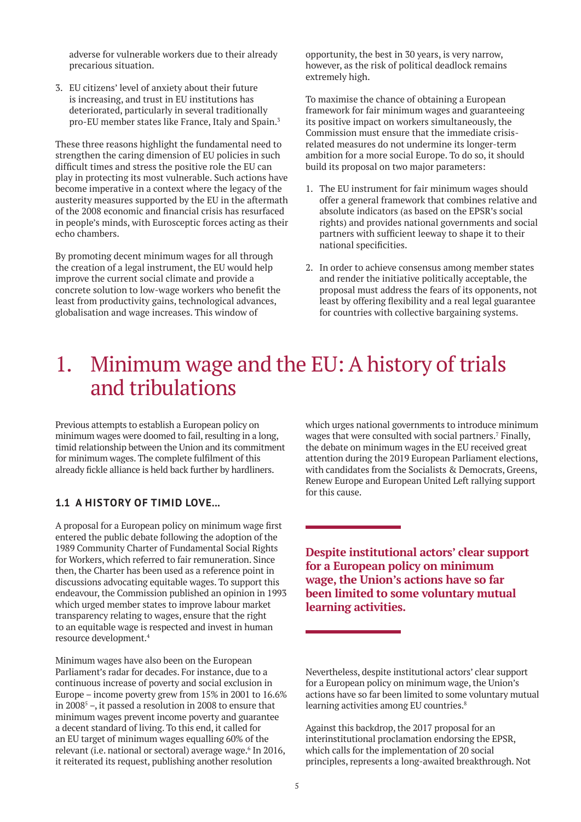adverse for vulnerable workers due to their already precarious situation.

3. EU citizens' level of anxiety about their future is increasing, and trust in EU institutions has deteriorated, particularly in several traditionally pro-EU member states like France, Italy and Spain.3

These three reasons highlight the fundamental need to strengthen the caring dimension of EU policies in such difficult times and stress the positive role the EU can play in protecting its most vulnerable. Such actions have become imperative in a context where the legacy of the austerity measures supported by the EU in the aftermath of the 2008 economic and financial crisis has resurfaced in people's minds, with Eurosceptic forces acting as their echo chambers.

By promoting decent minimum wages for all through the creation of a legal instrument, the EU would help improve the current social climate and provide a concrete solution to low-wage workers who benefit the least from productivity gains, technological advances, globalisation and wage increases. This window of

opportunity, the best in 30 years, is very narrow, however, as the risk of political deadlock remains extremely high.

To maximise the chance of obtaining a European framework for fair minimum wages and guaranteeing its positive impact on workers simultaneously, the Commission must ensure that the immediate crisisrelated measures do not undermine its longer-term ambition for a more social Europe. To do so, it should build its proposal on two major parameters:

- 1. The EU instrument for fair minimum wages should offer a general framework that combines relative and absolute indicators (as based on the EPSR's social rights) and provides national governments and social partners with sufficient leeway to shape it to their national specificities.
- 2. In order to achieve consensus among member states and render the initiative politically acceptable, the proposal must address the fears of its opponents, not least by offering flexibility and a real legal guarantee for countries with collective bargaining systems.

# 1. Minimum wage and the EU: A history of trials and tribulations

Previous attempts to establish a European policy on minimum wages were doomed to fail, resulting in a long, timid relationship between the Union and its commitment for minimum wages. The complete fulfilment of this already fickle alliance is held back further by hardliners.

# **1.1 A HISTORY OF TIMID LOVE...**

A proposal for a European policy on minimum wage first entered the public debate following the adoption of the 1989 Community Charter of Fundamental Social Rights for Workers, which referred to fair remuneration. Since then, the Charter has been used as a reference point in discussions advocating equitable wages. To support this endeavour, the Commission published an opinion in 1993 which urged member states to improve labour market transparency relating to wages, ensure that the right to an equitable wage is respected and invest in human resource development.4

Minimum wages have also been on the European Parliament's radar for decades. For instance, due to a continuous increase of poverty and social exclusion in Europe – income poverty grew from 15% in 2001 to 16.6% in 2008 $^5$  –, it passed a resolution in 2008 to ensure that minimum wages prevent income poverty and guarantee a decent standard of living. To this end, it called for an EU target of minimum wages equalling 60% of the relevant (i.e. national or sectoral) average wage.<sup>6</sup> In 2016, it reiterated its request, publishing another resolution

which urges national governments to introduce minimum wages that were consulted with social partners.<sup>7</sup> Finally, the debate on minimum wages in the EU received great attention during the 2019 European Parliament elections, with candidates from the Socialists & Democrats, Greens, Renew Europe and European United Left rallying support for this cause.

**Despite institutional actors' clear support for a European policy on minimum wage, the Union's actions have so far been limited to some voluntary mutual learning activities.**

Nevertheless, despite institutional actors' clear support for a European policy on minimum wage, the Union's actions have so far been limited to some voluntary mutual learning activities among EU countries.<sup>8</sup>

Against this backdrop, the 2017 proposal for an interinstitutional proclamation endorsing the EPSR, which calls for the implementation of 20 social principles, represents a long-awaited breakthrough. Not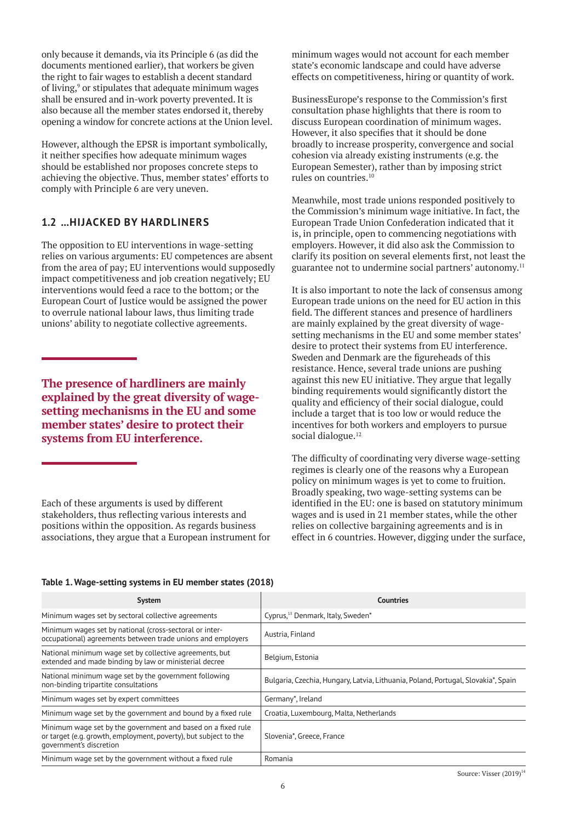only because it demands, via its Principle 6 (as did the documents mentioned earlier), that workers be given the right to fair wages to establish a decent standard of living,<sup>9</sup> or stipulates that adequate minimum wages shall be ensured and in-work poverty prevented. It is also because all the member states endorsed it, thereby opening a window for concrete actions at the Union level.

However, although the EPSR is important symbolically, it neither specifies how adequate minimum wages should be established nor proposes concrete steps to achieving the objective. Thus, member states' efforts to comply with Principle 6 are very uneven.

# **1.2 ...HIJACKED BY HARDLINERS**

The opposition to EU interventions in wage-setting relies on various arguments: EU competences are absent from the area of pay; EU interventions would supposedly impact competitiveness and job creation negatively; EU interventions would feed a race to the bottom; or the European Court of Justice would be assigned the power to overrule national labour laws, thus limiting trade unions' ability to negotiate collective agreements.

**The presence of hardliners are mainly explained by the great diversity of wagesetting mechanisms in the EU and some member states' desire to protect their systems from EU interference.**

Each of these arguments is used by different stakeholders, thus reflecting various interests and positions within the opposition. As regards business associations, they argue that a European instrument for

minimum wages would not account for each member state's economic landscape and could have adverse effects on competitiveness, hiring or quantity of work.

BusinessEurope's response to the Commission's first consultation phase highlights that there is room to discuss European coordination of minimum wages. However, it also specifies that it should be done broadly to increase prosperity, convergence and social cohesion via already existing instruments (e.g. the European Semester), rather than by imposing strict rules on countries.10

Meanwhile, most trade unions responded positively to the Commission's minimum wage initiative. In fact, the European Trade Union Confederation indicated that it is, in principle, open to commencing negotiations with employers. However, it did also ask the Commission to clarify its position on several elements first, not least the guarantee not to undermine social partners' autonomy.11

It is also important to note the lack of consensus among European trade unions on the need for EU action in this field. The different stances and presence of hardliners are mainly explained by the great diversity of wagesetting mechanisms in the EU and some member states' desire to protect their systems from EU interference. Sweden and Denmark are the figureheads of this resistance. Hence, several trade unions are pushing against this new EU initiative. They argue that legally binding requirements would significantly distort the quality and efficiency of their social dialogue, could include a target that is too low or would reduce the incentives for both workers and employers to pursue social dialogue.<sup>12</sup>

The difficulty of coordinating very diverse wage-setting regimes is clearly one of the reasons why a European policy on minimum wages is yet to come to fruition. Broadly speaking, two wage-setting systems can be identified in the EU: one is based on statutory minimum wages and is used in 21 member states, while the other relies on collective bargaining agreements and is in effect in 6 countries. However, digging under the surface,

| <b>System</b>                                                                                                                                               | <b>Countries</b>                                                                  |
|-------------------------------------------------------------------------------------------------------------------------------------------------------------|-----------------------------------------------------------------------------------|
| Minimum wages set by sectoral collective agreements                                                                                                         | Cyprus, <sup>13</sup> Denmark, Italy, Sweden*                                     |
| Minimum wages set by national (cross-sectoral or inter-<br>occupational) agreements between trade unions and employers                                      | Austria, Finland                                                                  |
| National minimum wage set by collective agreements, but<br>extended and made binding by law or ministerial decree                                           | Belgium, Estonia                                                                  |
| National minimum wage set by the government following<br>non-binding tripartite consultations                                                               | Bulgaria, Czechia, Hungary, Latvia, Lithuania, Poland, Portugal, Slovakia*, Spain |
| Minimum wages set by expert committees                                                                                                                      | Germany*, Ireland                                                                 |
| Minimum wage set by the government and bound by a fixed rule                                                                                                | Croatia, Luxembourg, Malta, Netherlands                                           |
| Minimum wage set by the government and based on a fixed rule<br>or target (e.g. growth, employment, poverty), but subject to the<br>government's discretion | Slovenia*, Greece, France                                                         |
| Minimum wage set by the government without a fixed rule                                                                                                     | Romania                                                                           |

#### **Table 1. Wage-setting systems in EU member states (2018)**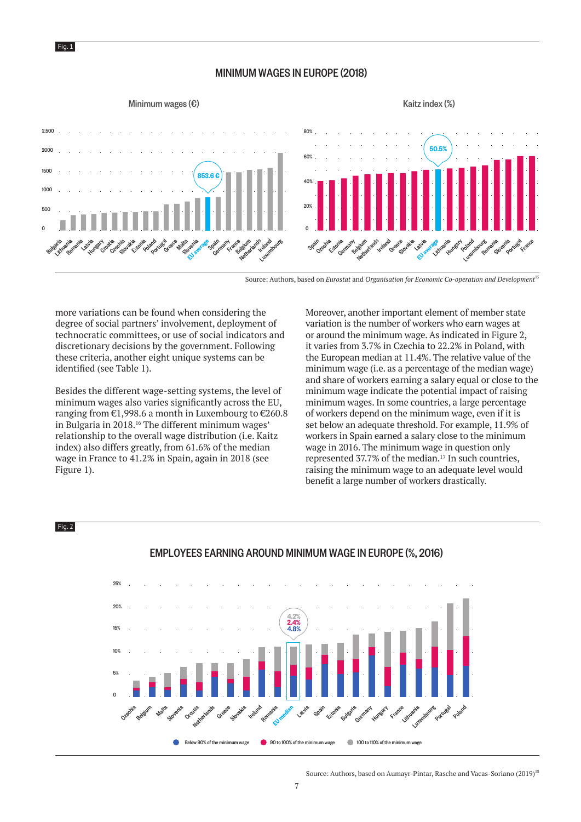

Fig. 2

### MINIMUM WAGES IN EUROPE (2018)

#### Minimum wages  $(\epsilon)$  Kaitz index (%)



Source: Authors, based on *Eurostat* and *Organisation for Economic Co-operation and Development*<sup>15</sup>

more variations can be found when considering the degree of social partners' involvement, deployment of technocratic committees, or use of social indicators and discretionary decisions by the government. Following these criteria, another eight unique systems can be identified (see Table 1).

Besides the different wage-setting systems, the level of minimum wages also varies significantly across the EU, ranging from €1,998.6 a month in Luxembourg to €260.8 in Bulgaria in 2018.16 The different minimum wages' relationship to the overall wage distribution (i.e. Kaitz index) also differs greatly, from 61.6% of the median wage in France to 41.2% in Spain, again in 2018 (see Figure 1).

Moreover, another important element of member state variation is the number of workers who earn wages at or around the minimum wage. As indicated in Figure 2, it varies from 3.7% in Czechia to 22.2% in Poland, with the European median at 11.4%. The relative value of the minimum wage (i.e. as a percentage of the median wage) and share of workers earning a salary equal or close to the minimum wage indicate the potential impact of raising minimum wages. In some countries, a large percentage of workers depend on the minimum wage, even if it is set below an adequate threshold. For example, 11.9% of workers in Spain earned a salary close to the minimum wage in 2016. The minimum wage in question only represented 37.7% of the median.<sup>17</sup> In such countries, raising the minimum wage to an adequate level would benefit a large number of workers drastically.



### EMPLOYEES EARNING AROUND MINIMUM WAGE IN EUROPE (%, 2016)

Source: Authors, based on Aumayr-Pintar, Rasche and Vacas-Soriano (2019)<sup>18</sup>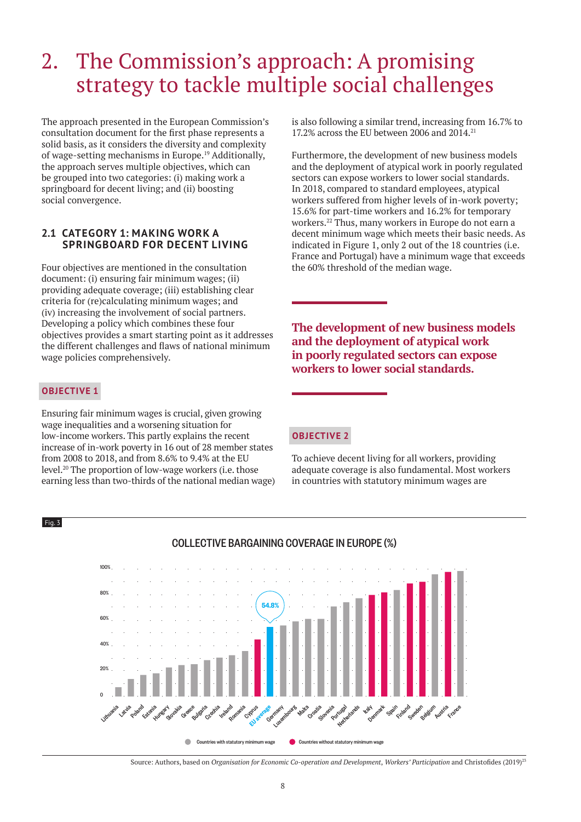# 2. The Commission's approach: A promising strategy to tackle multiple social challenges

The approach presented in the European Commission's consultation document for the first phase represents a solid basis, as it considers the diversity and complexity of wage-setting mechanisms in Europe.19 Additionally, the approach serves multiple objectives, which can be grouped into two categories: (i) making work a springboard for decent living; and (ii) boosting social convergence.

### **2.1 CATEGORY 1: MAKING WORK A SPRINGBOARD FOR DECENT LIVING**

Four objectives are mentioned in the consultation document: (i) ensuring fair minimum wages; (ii) providing adequate coverage; (iii) establishing clear criteria for (re)calculating minimum wages; and (iv) increasing the involvement of social partners. Developing a policy which combines these four objectives provides a smart starting point as it addresses the different challenges and flaws of national minimum wage policies comprehensively.

# **OBJECTIVE 1**

 $Fig. 3$ 

Ensuring fair minimum wages is crucial, given growing wage inequalities and a worsening situation for low-income workers. This partly explains the recent increase of in-work poverty in 16 out of 28 member states from 2008 to 2018, and from 8.6% to 9.4% at the EU level.20 The proportion of low-wage workers (i.e. those earning less than two-thirds of the national median wage) is also following a similar trend, increasing from 16.7% to 17.2% across the EU between 2006 and 2014.21

Furthermore, the development of new business models and the deployment of atypical work in poorly regulated sectors can expose workers to lower social standards. In 2018, compared to standard employees, atypical workers suffered from higher levels of in-work poverty; 15.6% for part-time workers and 16.2% for temporary workers.22 Thus, many workers in Europe do not earn a decent minimum wage which meets their basic needs. As indicated in Figure 1, only 2 out of the 18 countries (i.e. France and Portugal) have a minimum wage that exceeds the 60% threshold of the median wage.

**The development of new business models and the deployment of atypical work in poorly regulated sectors can expose workers to lower social standards.**

### **OBJECTIVE 2**

To achieve decent living for all workers, providing adequate coverage is also fundamental. Most workers in countries with statutory minimum wages are



# COLLECTIVE BARGAINING COVERAGE IN EUROPE (%)

Source: Authors, based on *Organisation for Economic Co-operation and Development*, *Workers' Participation* and Christofides (2019)<sup>23</sup>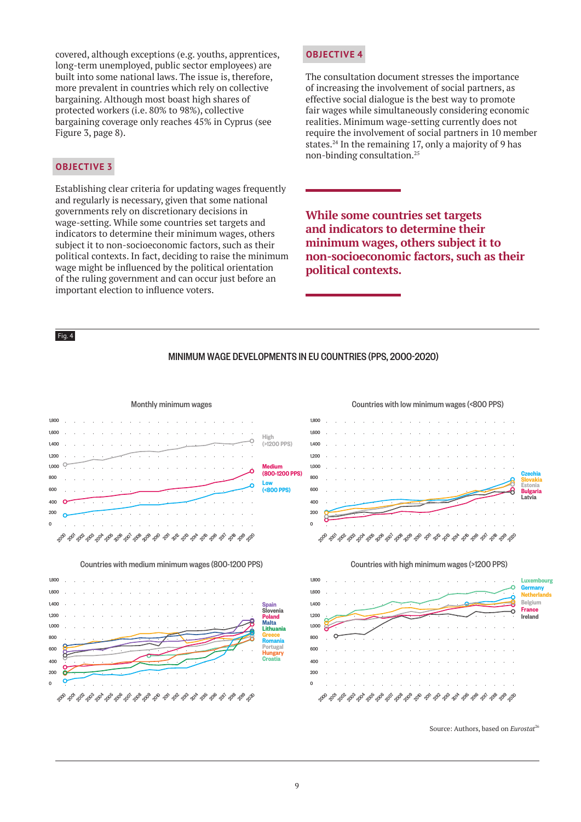covered, although exceptions (e.g. youths, apprentices, long-term unemployed, public sector employees) are built into some national laws. The issue is, therefore, more prevalent in countries which rely on collective bargaining. Although most boast high shares of protected workers (i.e. 80% to 98%), collective bargaining coverage only reaches 45% in Cyprus (see Figure 3, page 8).

# **OBJECTIVE 3**

Establishing clear criteria for updating wages frequently and regularly is necessary, given that some national governments rely on discretionary decisions in wage-setting. While some countries set targets and indicators to determine their minimum wages, others subject it to non-socioeconomic factors, such as their political contexts. In fact, deciding to raise the minimum wage might be influenced by the political orientation of the ruling government and can occur just before an important election to influence voters.

### **OBJECTIVE 4**

The consultation document stresses the importance of increasing the involvement of social partners, as effective social dialogue is the best way to promote fair wages while simultaneously considering economic realities. Minimum wage-setting currently does not require the involvement of social partners in 10 member states.<sup>24</sup> In the remaining 17, only a majority of 9 has non-binding consultation.25

**While some countries set targets and indicators to determine their minimum wages, others subject it to non-socioeconomic factors, such as their political contexts.**

#### Fig. 4

#### MINIMUM WAGE DEVELOPMENTS IN EU COUNTRIES (PPS, 2000-2020)



Source: Authors, based on *Eurostat*<sup>26</sup>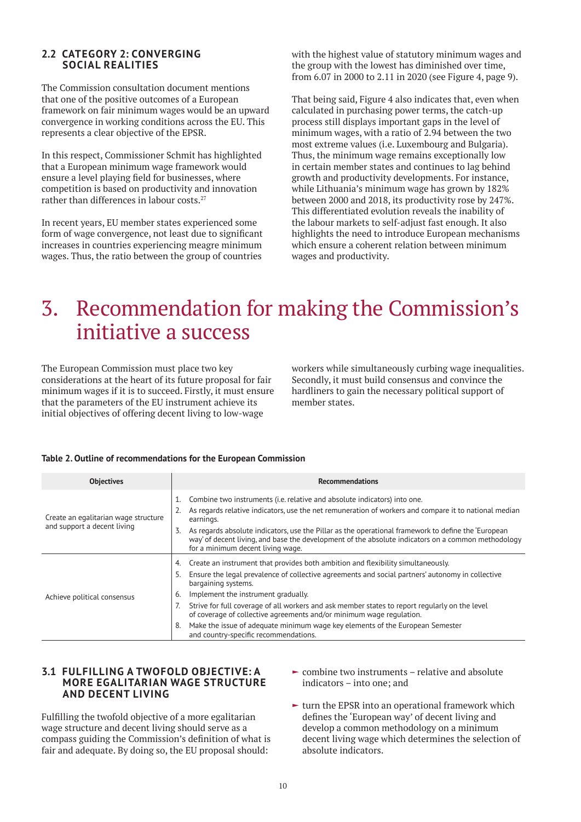### **2.2 CATEGORY 2: CONVERGING SOCIAL REALITIES**

The Commission consultation document mentions that one of the positive outcomes of a European framework on fair minimum wages would be an upward convergence in working conditions across the EU. This represents a clear objective of the EPSR.

In this respect, Commissioner Schmit has highlighted that a European minimum wage framework would ensure a level playing field for businesses, where competition is based on productivity and innovation rather than differences in labour costs.<sup>27</sup>

In recent years, EU member states experienced some form of wage convergence, not least due to significant increases in countries experiencing meagre minimum wages. Thus, the ratio between the group of countries

with the highest value of statutory minimum wages and the group with the lowest has diminished over time, from 6.07 in 2000 to 2.11 in 2020 (see Figure 4, page 9).

That being said, Figure 4 also indicates that, even when calculated in purchasing power terms, the catch-up process still displays important gaps in the level of minimum wages, with a ratio of 2.94 between the two most extreme values (i.e. Luxembourg and Bulgaria). Thus, the minimum wage remains exceptionally low in certain member states and continues to lag behind growth and productivity developments. For instance, while Lithuania's minimum wage has grown by 182% between 2000 and 2018, its productivity rose by 247%. This differentiated evolution reveals the inability of the labour markets to self-adjust fast enough. It also highlights the need to introduce European mechanisms which ensure a coherent relation between minimum wages and productivity.

# 3. Recommendation for making the Commission's initiative a success

The European Commission must place two key considerations at the heart of its future proposal for fair minimum wages if it is to succeed. Firstly, it must ensure that the parameters of the EU instrument achieve its initial objectives of offering decent living to low-wage

workers while simultaneously curbing wage inequalities. Secondly, it must build consensus and convince the hardliners to gain the necessary political support of member states.

#### **Table 2. Outline of recommendations for the European Commission**

| <b>Objectives</b>                                                   | <b>Recommendations</b>                                                                                                                                                                                                                                                                                                                                                                                                                                                                                                                                                         |
|---------------------------------------------------------------------|--------------------------------------------------------------------------------------------------------------------------------------------------------------------------------------------------------------------------------------------------------------------------------------------------------------------------------------------------------------------------------------------------------------------------------------------------------------------------------------------------------------------------------------------------------------------------------|
| Create an egalitarian wage structure<br>and support a decent living | Combine two instruments (i.e. relative and absolute indicators) into one.<br>As regards relative indicators, use the net remuneration of workers and compare it to national median<br>earnings.<br>As regards absolute indicators, use the Pillar as the operational framework to define the 'European<br>3.<br>way' of decent living, and base the development of the absolute indicators on a common methodology<br>for a minimum decent living wage.                                                                                                                        |
| Achieve political consensus                                         | Create an instrument that provides both ambition and flexibility simultaneously.<br>4.<br>Ensure the legal prevalence of collective agreements and social partners' autonomy in collective<br>5.<br>bargaining systems.<br>Implement the instrument gradually.<br>6.<br>Strive for full coverage of all workers and ask member states to report regularly on the level<br>of coverage of collective agreements and/or minimum wage regulation.<br>Make the issue of adequate minimum wage key elements of the European Semester<br>8.<br>and country-specific recommendations. |

### **3.1 FULFILLING A TWOFOLD OBJECTIVE: A MORE EGALITARIAN WAGE STRUCTURE AND DECENT LIVING**

Fulfilling the twofold objective of a more egalitarian wage structure and decent living should serve as a compass guiding the Commission's definition of what is fair and adequate. By doing so, the EU proposal should:

- $\blacktriangleright$  combine two instruments relative and absolute indicators – into one; and
- $\blacktriangleright$  turn the EPSR into an operational framework which defines the 'European way' of decent living and develop a common methodology on a minimum decent living wage which determines the selection of absolute indicators.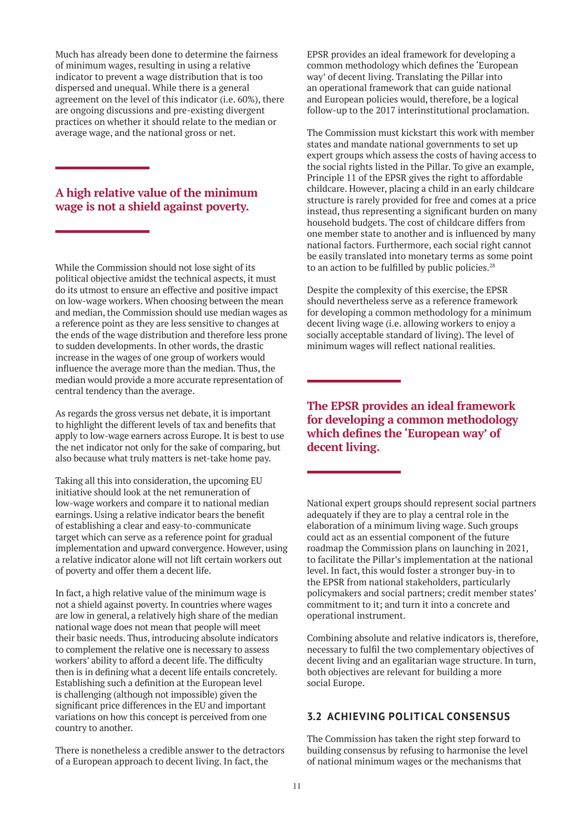Much has already been done to determine the fairness of minimum wages, resulting in using a relative indicator to prevent a wage distribution that is too dispersed and unequal. While there is a general agreement on the level of this indicator (i.e. 60%), there are ongoing discussions and pre-existing divergent practices on whether it should relate to the median or average wage, and the national gross or net.

# **A high relative value of the minimum wage is not a shield against poverty.**

While the Commission should not lose sight of its political objective amidst the technical aspects, it must do its utmost to ensure an effective and positive impact on low-wage workers. When choosing between the mean and median, the Commission should use median wages as a reference point as they are less sensitive to changes at the ends of the wage distribution and therefore less prone to sudden developments. In other words, the drastic increase in the wages of one group of workers would influence the average more than the median. Thus, the median would provide a more accurate representation of central tendency than the average.

As regards the gross versus net debate, it is important to highlight the different levels of tax and benefits that apply to low-wage earners across Europe. It is best to use the net indicator not only for the sake of comparing, but also because what truly matters is net-take home pay.

Taking all this into consideration, the upcoming EU initiative should look at the net remuneration of low-wage workers and compare it to national median earnings. Using a relative indicator bears the benefit of establishing a clear and easy-to-communicate target which can serve as a reference point for gradual implementation and upward convergence. However, using a relative indicator alone will not lift certain workers out of poverty and offer them a decent life.

In fact, a high relative value of the minimum wage is not a shield against poverty. In countries where wages are low in general, a relatively high share of the median national wage does not mean that people will meet their basic needs. Thus, introducing absolute indicators to complement the relative one is necessary to assess workers' ability to afford a decent life. The difficulty then is in defining what a decent life entails concretely. Establishing such a definition at the European level is challenging (although not impossible) given the significant price differences in the EU and important variations on how this concept is perceived from one country to another.

There is nonetheless a credible answer to the detractors of a European approach to decent living. In fact, the

EPSR provides an ideal framework for developing a common methodology which defines the 'European way' of decent living. Translating the Pillar into an operational framework that can guide national and European policies would, therefore, be a logical follow-up to the 2017 interinstitutional proclamation.

The Commission must kickstart this work with member states and mandate national governments to set up expert groups which assess the costs of having access to the social rights listed in the Pillar. To give an example, Principle 11 of the EPSR gives the right to affordable childcare. However, placing a child in an early childcare structure is rarely provided for free and comes at a price instead, thus representing a significant burden on many household budgets. The cost of childcare differs from one member state to another and is influenced by many national factors. Furthermore, each social right cannot be easily translated into monetary terms as some point to an action to be fulfilled by public policies.<sup>28</sup>

Despite the complexity of this exercise, the EPSR should nevertheless serve as a reference framework for developing a common methodology for a minimum decent living wage (i.e. allowing workers to enjoy a socially acceptable standard of living). The level of minimum wages will reflect national realities.

**The EPSR provides an ideal framework for developing a common methodology which defines the 'European way' of decent living.**

National expert groups should represent social partners adequately if they are to play a central role in the elaboration of a minimum living wage. Such groups could act as an essential component of the future roadmap the Commission plans on launching in 2021, to facilitate the Pillar's implementation at the national level. In fact, this would foster a stronger buy-in to the EPSR from national stakeholders, particularly policymakers and social partners; credit member states' commitment to it; and turn it into a concrete and operational instrument.

Combining absolute and relative indicators is, therefore, necessary to fulfil the two complementary objectives of decent living and an egalitarian wage structure. In turn, both objectives are relevant for building a more social Europe.

# **3.2 ACHIEVING POLITICAL CONSENSUS**

The Commission has taken the right step forward to building consensus by refusing to harmonise the level of national minimum wages or the mechanisms that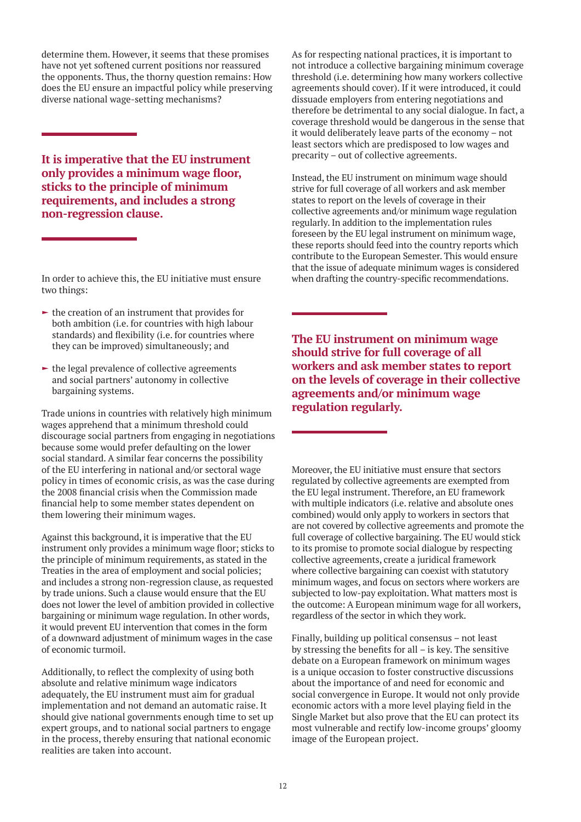determine them. However, it seems that these promises have not yet softened current positions nor reassured the opponents. Thus, the thorny question remains: How does the EU ensure an impactful policy while preserving diverse national wage-setting mechanisms?

**It is imperative that the EU instrument only provides a minimum wage floor, sticks to the principle of minimum requirements, and includes a strong non-regression clause.**

In order to achieve this, the EU initiative must ensure two things:

- $\blacktriangleright$  the creation of an instrument that provides for both ambition (i.e. for countries with high labour standards) and flexibility (i.e. for countries where they can be improved) simultaneously; and
- $\blacktriangleright$  the legal prevalence of collective agreements and social partners' autonomy in collective bargaining systems.

Trade unions in countries with relatively high minimum wages apprehend that a minimum threshold could discourage social partners from engaging in negotiations because some would prefer defaulting on the lower social standard. A similar fear concerns the possibility of the EU interfering in national and/or sectoral wage policy in times of economic crisis, as was the case during the 2008 financial crisis when the Commission made financial help to some member states dependent on them lowering their minimum wages.

Against this background, it is imperative that the EU instrument only provides a minimum wage floor; sticks to the principle of minimum requirements, as stated in the Treaties in the area of employment and social policies; and includes a strong non-regression clause, as requested by trade unions. Such a clause would ensure that the EU does not lower the level of ambition provided in collective bargaining or minimum wage regulation. In other words, it would prevent EU intervention that comes in the form of a downward adjustment of minimum wages in the case of economic turmoil.

Additionally, to reflect the complexity of using both absolute and relative minimum wage indicators adequately, the EU instrument must aim for gradual implementation and not demand an automatic raise. It should give national governments enough time to set up expert groups, and to national social partners to engage in the process, thereby ensuring that national economic realities are taken into account.

As for respecting national practices, it is important to not introduce a collective bargaining minimum coverage threshold (i.e. determining how many workers collective agreements should cover). If it were introduced, it could dissuade employers from entering negotiations and therefore be detrimental to any social dialogue. In fact, a coverage threshold would be dangerous in the sense that it would deliberately leave parts of the economy – not least sectors which are predisposed to low wages and precarity – out of collective agreements.

Instead, the EU instrument on minimum wage should strive for full coverage of all workers and ask member states to report on the levels of coverage in their collective agreements and/or minimum wage regulation regularly. In addition to the implementation rules foreseen by the EU legal instrument on minimum wage, these reports should feed into the country reports which contribute to the European Semester. This would ensure that the issue of adequate minimum wages is considered when drafting the country-specific recommendations.

**The EU instrument on minimum wage should strive for full coverage of all workers and ask member states to report on the levels of coverage in their collective agreements and/or minimum wage regulation regularly.**

Moreover, the EU initiative must ensure that sectors regulated by collective agreements are exempted from the EU legal instrument. Therefore, an EU framework with multiple indicators (i.e. relative and absolute ones combined) would only apply to workers in sectors that are not covered by collective agreements and promote the full coverage of collective bargaining. The EU would stick to its promise to promote social dialogue by respecting collective agreements, create a juridical framework where collective bargaining can coexist with statutory minimum wages, and focus on sectors where workers are subjected to low-pay exploitation. What matters most is the outcome: A European minimum wage for all workers, regardless of the sector in which they work.

Finally, building up political consensus – not least by stressing the benefits for all – is key. The sensitive debate on a European framework on minimum wages is a unique occasion to foster constructive discussions about the importance of and need for economic and social convergence in Europe. It would not only provide economic actors with a more level playing field in the Single Market but also prove that the EU can protect its most vulnerable and rectify low-income groups' gloomy image of the European project.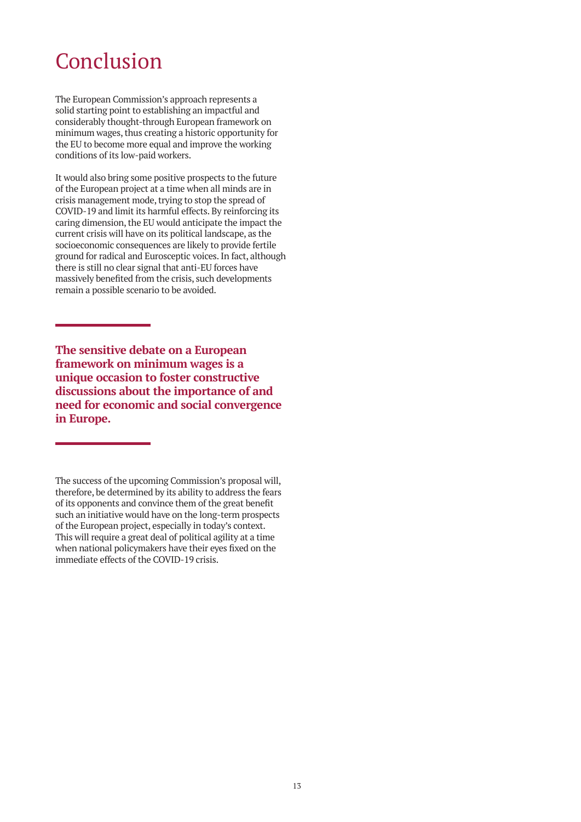# Conclusion

The European Commission's approach represents a solid starting point to establishing an impactful and considerably thought-through European framework on minimum wages, thus creating a historic opportunity for the EU to become more equal and improve the working conditions of its low-paid workers.

It would also bring some positive prospects to the future of the European project at a time when all minds are in crisis management mode, trying to stop the spread of COVID-19 and limit its harmful effects. By reinforcing its caring dimension, the EU would anticipate the impact the current crisis will have on its political landscape, as the socioeconomic consequences are likely to provide fertile ground for radical and Eurosceptic voices. In fact, although there is still no clear signal that anti-EU forces have massively benefited from the crisis, such developments remain a possible scenario to be avoided.

**The sensitive debate on a European framework on minimum wages is a unique occasion to foster constructive discussions about the importance of and need for economic and social convergence in Europe.**

The success of the upcoming Commission's proposal will, therefore, be determined by its ability to address the fears of its opponents and convince them of the great benefit such an initiative would have on the long-term prospects of the European project, especially in today's context. This will require a great deal of political agility at a time when national policymakers have their eyes fixed on the immediate effects of the COVID-19 crisis.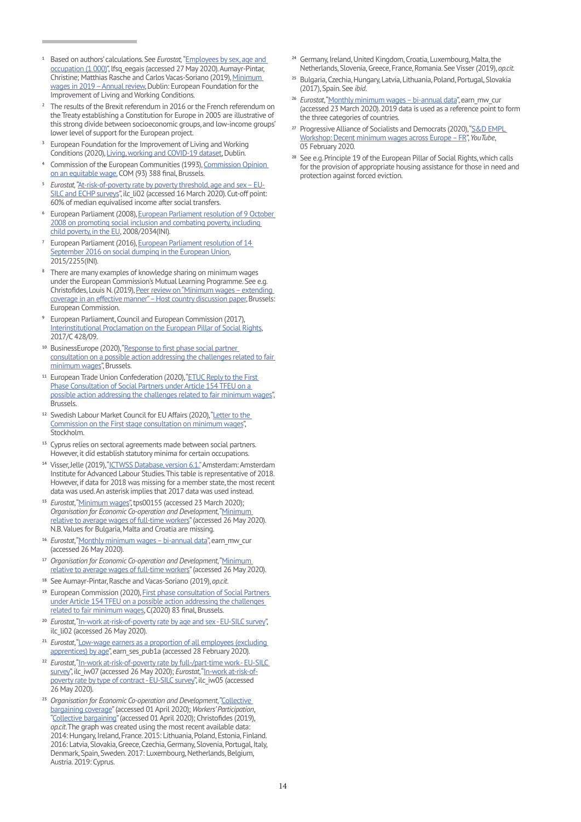- **<sup>1</sup>** Based on authors' calculations. See *Eurostat,* "[Employees by sex, age and](https://ec.europa.eu/eurostat/web/products-datasets/product?code=LFSQ_EEGAIS)  [occupation \(1 000\)"](https://ec.europa.eu/eurostat/web/products-datasets/product?code=LFSQ_EEGAIS), lfsq\_eegais (accessed 27 May 2020). Aumayr-Pintar, Christine; Matthias Rasche and Carlos Vacas-Soriano (2019), [Minimum](https://www.eurofound.europa.eu/publications/report/2019/minimum-wages-in-2019-annual-review)  [wages in 2019 – Annual review](https://www.eurofound.europa.eu/publications/report/2019/minimum-wages-in-2019-annual-review), Dublin: European Foundation for the Improvement of Living and Working Conditions.
- **<sup>2</sup>** The results of the Brexit referendum in 2016 or the French referendum on the Treaty establishing a Constitution for Europe in 2005 are illustrative of this strong divide between socioeconomic groups, and low-income groups' lower level of support for the European project.
- **<sup>3</sup>** European Foundation for the Improvement of Living and Working Conditions (2020), [Living, working and COVID-19 dataset](https://www.eurofound.europa.eu/data/covid-19), Dublin.
- 4 Commission of the European Communities (1993), Commission Opinion [on an equitable wage,](https://op.europa.eu/en/publication-detail/-/publication/9dc0053c-8219-40a8-a0ad-4c85f30f943b) COM (93) 388 final, Brussels.
- **<sup>5</sup>** *Eurostat,* "[At-risk-of-poverty rate by poverty threshold, age and sex EU-](http://appsso.eurostat.ec.europa.eu/nui/show.do?dataset=ilc_li02)[SILC and ECHP surveys"](http://appsso.eurostat.ec.europa.eu/nui/show.do?dataset=ilc_li02), ilc\_li02 (accessed 16 March 2020). Cut-off point: 60% of median equivalised income after social transfers.
- **<sup>6</sup>** European Parliament (2008), [European Parliament resolution of 9 October](https://eur-lex.europa.eu/legal-content/EN/TXT/?uri=CELEX%3A52008IP0467)  [2008 on promoting social inclusion and combating poverty, including](https://eur-lex.europa.eu/legal-content/EN/TXT/?uri=CELEX%3A52008IP0467)  [child poverty, in the EU,](https://eur-lex.europa.eu/legal-content/EN/TXT/?uri=CELEX%3A52008IP0467) 2008/2034(INI).
- **<sup>7</sup>** European Parliament (2016), [European Parliament resolution of 14](https://eur-lex.europa.eu/legal-content/EN/TXT/?uri=CELEX%3A52016IP0346)  [September 2016 on social dumping in the European Union](https://eur-lex.europa.eu/legal-content/EN/TXT/?uri=CELEX%3A52016IP0346), 2015/2255(INI).
- **<sup>8</sup>** There are many examples of knowledge sharing on minimum wages under the European Commission's Mutual Learning Programme. See e.g. Christofides, Louis N. (2019), [Peer review on "Minimum wages – extending](https://ec.europa.eu/social/main.jsp?langId=en&catId=1070&furtherNews=yes&newsId=9366)  [coverage in an effective manner" – Host country discussion paper](https://ec.europa.eu/social/main.jsp?langId=en&catId=1070&furtherNews=yes&newsId=9366), Brussels: European Commission.
- **<sup>9</sup>** European Parliament, Council and European Commission (2017), [Interinstitutional Proclamation on the European Pillar of Social Rights](https://eur-lex.europa.eu/legal-content/EN/TXT/?uri=CELEX%3A32017C1213%2801%29), 2017/C 428/09.
- **<sup>10</sup>** BusinessEurope (2020), ["Response to first phase social partner](https://www.businesseurope.eu/sites/buseur/files/media/position_papers/social/2020-02-19_response_first_stage_consultation_minimum_wages_final.pdf)  [consultation on a possible action addressing the challenges related to fair](https://www.businesseurope.eu/sites/buseur/files/media/position_papers/social/2020-02-19_response_first_stage_consultation_minimum_wages_final.pdf)  [minimum wages](https://www.businesseurope.eu/sites/buseur/files/media/position_papers/social/2020-02-19_response_first_stage_consultation_minimum_wages_final.pdf)", Brussels.
- <sup>11</sup> European Trade Union Confederation (2020), "ETUC Reply to the First [Phase Consultation of Social Partners under Article 154 TFEU on a](https://www.etuc.org/sites/default/files/document/file/2020-02/ETUC%20REPLY%20to%20the%20First%20Phase%20Consultation%20of%20Social%20Partners%20under%20Article%20154%20TFEU%20on%20a%20possible%20action%20addressing%20the%20challenges%20related%20to%20fair%20minimum%20wages_0.pdf)  [possible action addressing the challenges related to fair minimum wages](https://www.etuc.org/sites/default/files/document/file/2020-02/ETUC%20REPLY%20to%20the%20First%20Phase%20Consultation%20of%20Social%20Partners%20under%20Article%20154%20TFEU%20on%20a%20possible%20action%20addressing%20the%20challenges%20related%20to%20fair%20minimum%20wages_0.pdf)", Brussels.
- <sup>12</sup> Swedish Labour Market Council for EU Affairs (2020), "Letter to the [Commission on the First stage consultation on minimum wages](https://www.svensktnaringsliv.se/bilder_och_dokument/200129-letter-from-the-swedish-labour-market-council-for-eu-affai_762933.html/BINARY/200129%20Letter%20from%20the%20Swedish%20Labour%20Market%20Council%20for%20EU%20Affairs%20to%20the%20Commission%20on%20the%20First%20stage%20consultation%20on%20minimum%20wages.%20January%2029%202020.pdf)", Stockholm.
- **<sup>13</sup>** Cyprus relies on sectoral agreements made between social partners. However, it did establish statutory minima for certain occupations.
- <sup>14</sup> Visser, Jelle (2019), ["ICTWSS Database, version 6.1."](http://uva-aias.net/en/ictwss) Amsterdam: Amsterdam Institute for Advanced Labour Studies. This table is representative of 2018. However, if data for 2018 was missing for a member state, the most recent data was used. An asterisk implies that 2017 data was used instead.
- **<sup>15</sup>** *Eurostat*, "[Minimum wages](https://ec.europa.eu/eurostat/web/products-datasets/-/tps00155)", tps00155 (accessed 23 March 2020); *Organisation for Economic Co-operation and Development*, ["Minimum](https://stats.oecd.org/Index.aspx?DataSetCode=MIN2AVE)  [relative to average wages of full-time workers](https://stats.oecd.org/Index.aspx?DataSetCode=MIN2AVE)" (accessed 26 May 2020). N.B. Values for Bulgaria, Malta and Croatia are missing.
- **<sup>16</sup>** *Eurostat*, "[Monthly minimum wages bi-annual data](https://appsso.eurostat.ec.europa.eu/nui/show.do?dataset=earn_mw_cur&lang=en)", earn\_mw\_cur (accessed 26 May 2020).
- <sup>17</sup> *Organisation for Economic Co-operation and Development*, "Minimum [relative to average wages of full-time workers](https://stats.oecd.org/Index.aspx?DataSetCode=MIN2AVE)" (accessed 26 May 2020).
- **<sup>18</sup>** See Aumayr-Pintar, Rasche and Vacas-Soriano (2019), *op.cit*.
- **<sup>19</sup>** European Commission (2020), [First phase consultation of Social Partners](https://ec.europa.eu/commission/presscorner/detail/en/fs_20_51)  [under Article 154 TFEU on a possible action addressing the challenges](https://ec.europa.eu/commission/presscorner/detail/en/fs_20_51)  [related to fair minimum wages](https://ec.europa.eu/commission/presscorner/detail/en/fs_20_51), C(2020) 83 final, Brussels.
- **<sup>20</sup>** *Eurostat*, "[In-work at-risk-of-poverty rate by age and sex EU-SILC survey](http://appsso.eurostat.ec.europa.eu/nui/show.do?lang=en&dataset=ilc_li02)", ilc\_li02 (accessed 26 May 2020).
- **<sup>21</sup>** *Eurostat*, "[Low-wage earners as a proportion of all employees \(excluding](https://appsso.eurostat.ec.europa.eu/nui/show.do?dataset=earn_ses_pub1a&lang=en)  [apprentices\) by age"](https://appsso.eurostat.ec.europa.eu/nui/show.do?dataset=earn_ses_pub1a&lang=en), earn\_ses\_pub1a (accessed 28 February 2020).
- **<sup>22</sup>** *Eurostat*, "[In-work at-risk-of-poverty rate by full-/part-time work EU-SILC](https://data.europa.eu/euodp/en/data/dataset/QKB5nsKk71SzDazeO9XVWA)  [survey](https://data.europa.eu/euodp/en/data/dataset/QKB5nsKk71SzDazeO9XVWA)", ilc\_iw07 (accessed 26 May 2020); *Eurostat*, "[In-work at-risk-of](https://ec.europa.eu/eurostat/web/products-datasets/product?code=ILC_IW05)[poverty rate by type of contract - EU-SILC survey](https://ec.europa.eu/eurostat/web/products-datasets/product?code=ILC_IW05)", ilc\_iw05 (accessed 26 May 2020).
- <sup>23</sup> Organisation for Economic Co-operation and Development, "Collective [bargaining coverage"](https://stats.oecd.org/Index.aspx?DataSetCode=CBC) (accessed 01 April 2020); *Workers' Participation*, "[Collective bargaining](https://www.worker-participation.eu/National-Industrial-Relations/Across-Europe/Collective-Bargaining2)" (accessed 01 April 2020); Christofides (2019), *op.cit*. The graph was created using the most recent available data: 2014: Hungary, Ireland, France. 2015: Lithuania, Poland, Estonia, Finland. 2016: Latvia, Slovakia, Greece, Czechia, Germany, Slovenia, Portugal, Italy, Denmark, Spain, Sweden. 2017: Luxembourg, Netherlands, Belgium, Austria. 2019: Cyprus.
- **<sup>24</sup>** Germany, Ireland, United Kingdom, Croatia, Luxembourg, Malta, the Netherlands, Slovenia, Greece, France, Romania. See Visser (2019), *op.cit.*
- **<sup>25</sup>** Bulgaria, Czechia, Hungary, Latvia, Lithuania, Poland, Portugal, Slovakia (2017), Spain. See *ibid.*
- **<sup>26</sup>** *Eurostat*, "[Monthly minimum wages bi-annual data](https://appsso.eurostat.ec.europa.eu/nui/show.do?dataset=earn_mw_cur&lang=en)", earn\_mw\_cur (accessed 23 March 2020). 2019 data is used as a reference point to form the three categories of countries.
- **<sup>27</sup>** Progressive Alliance of Socialists and Democrats (2020), ["S&D EMPL](https://www.youtube.com/watch?v=4LfbAScKY4Q)  [Workshop: Decent minimum wages across Europe – FR](https://www.youtube.com/watch?v=4LfbAScKY4Q)", *YouTube*, 05 February 2020.
- **<sup>28</sup>** See e.g. Principle 19 of the European Pillar of Social Rights, which calls for the provision of appropriate housing assistance for those in need and protection against forced eviction.